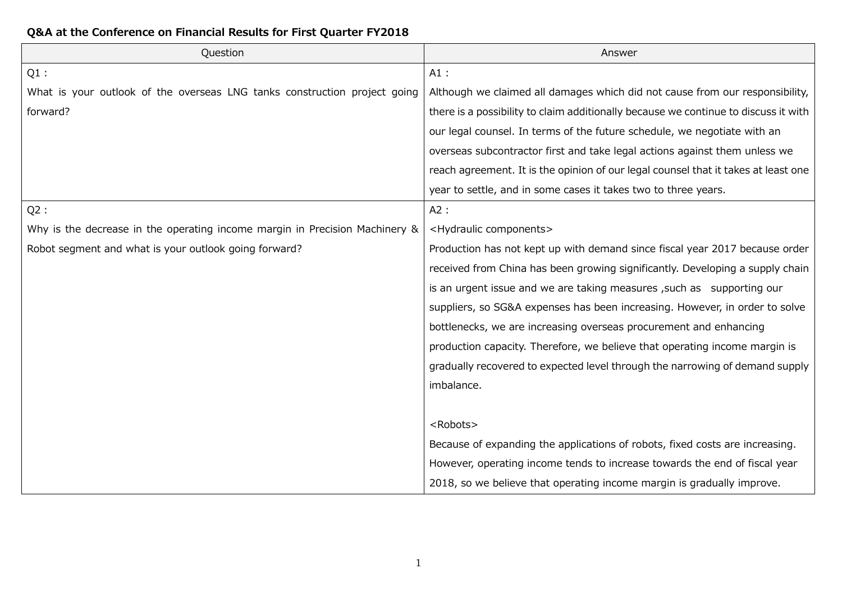## **Q&A at the Conference on Financial Results for First Quarter FY2018**

| Question                                                                    | Answer                                                                              |
|-----------------------------------------------------------------------------|-------------------------------------------------------------------------------------|
| $Q1$ :                                                                      | $A1$ :                                                                              |
| What is your outlook of the overseas LNG tanks construction project going   | Although we claimed all damages which did not cause from our responsibility,        |
| forward?                                                                    | there is a possibility to claim additionally because we continue to discuss it with |
|                                                                             | our legal counsel. In terms of the future schedule, we negotiate with an            |
|                                                                             | overseas subcontractor first and take legal actions against them unless we          |
|                                                                             | reach agreement. It is the opinion of our legal counsel that it takes at least one  |
|                                                                             | year to settle, and in some cases it takes two to three years.                      |
| Q2:                                                                         | A2:                                                                                 |
| Why is the decrease in the operating income margin in Precision Machinery & | <hydraulic components=""></hydraulic>                                               |
| Robot segment and what is your outlook going forward?                       | Production has not kept up with demand since fiscal year 2017 because order         |
|                                                                             | received from China has been growing significantly. Developing a supply chain       |
|                                                                             | is an urgent issue and we are taking measures, such as supporting our               |
|                                                                             | suppliers, so SG&A expenses has been increasing. However, in order to solve         |
|                                                                             | bottlenecks, we are increasing overseas procurement and enhancing                   |
|                                                                             | production capacity. Therefore, we believe that operating income margin is          |
|                                                                             | gradually recovered to expected level through the narrowing of demand supply        |
|                                                                             | imbalance.                                                                          |
|                                                                             |                                                                                     |
|                                                                             | <robots></robots>                                                                   |
|                                                                             | Because of expanding the applications of robots, fixed costs are increasing.        |
|                                                                             | However, operating income tends to increase towards the end of fiscal year          |
|                                                                             | 2018, so we believe that operating income margin is gradually improve.              |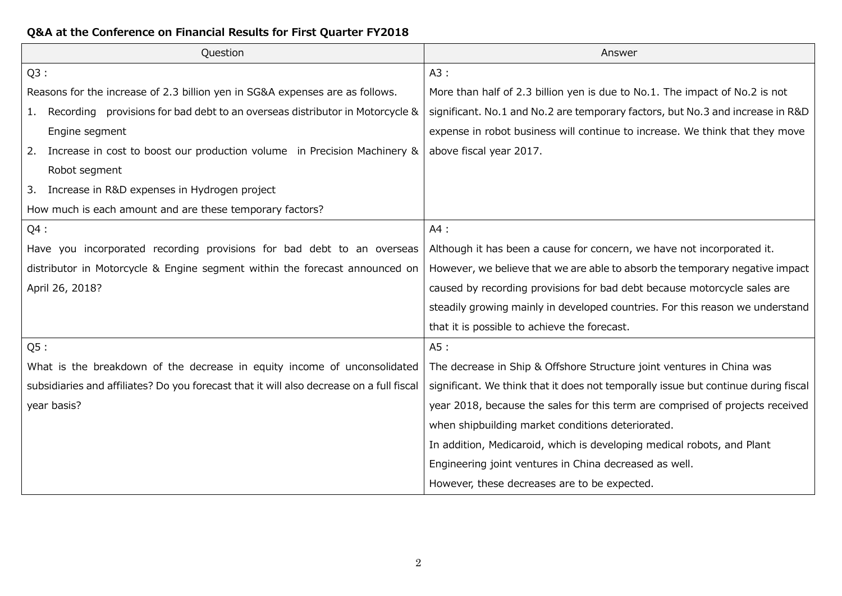## **Q&A at the Conference on Financial Results for First Quarter FY2018**

| Question                                                                                 | Answer                                                                             |
|------------------------------------------------------------------------------------------|------------------------------------------------------------------------------------|
| Q3:                                                                                      | A3:                                                                                |
| Reasons for the increase of 2.3 billion yen in SG&A expenses are as follows.             | More than half of 2.3 billion yen is due to No.1. The impact of No.2 is not        |
| Recording provisions for bad debt to an overseas distributor in Motorcycle &<br>1.       | significant. No.1 and No.2 are temporary factors, but No.3 and increase in R&D     |
| Engine segment                                                                           | expense in robot business will continue to increase. We think that they move       |
| Increase in cost to boost our production volume in Precision Machinery &                 | above fiscal year 2017.                                                            |
| Robot segment                                                                            |                                                                                    |
| Increase in R&D expenses in Hydrogen project<br>3.                                       |                                                                                    |
| How much is each amount and are these temporary factors?                                 |                                                                                    |
| $Q4$ :                                                                                   | A4:                                                                                |
| Have you incorporated recording provisions for bad debt to an overseas                   | Although it has been a cause for concern, we have not incorporated it.             |
| distributor in Motorcycle & Engine segment within the forecast announced on              | However, we believe that we are able to absorb the temporary negative impact       |
| April 26, 2018?                                                                          | caused by recording provisions for bad debt because motorcycle sales are           |
|                                                                                          | steadily growing mainly in developed countries. For this reason we understand      |
|                                                                                          | that it is possible to achieve the forecast.                                       |
| Q5:                                                                                      | A5 :                                                                               |
| What is the breakdown of the decrease in equity income of unconsolidated                 | The decrease in Ship & Offshore Structure joint ventures in China was              |
| subsidiaries and affiliates? Do you forecast that it will also decrease on a full fiscal | significant. We think that it does not temporally issue but continue during fiscal |
| year basis?                                                                              | year 2018, because the sales for this term are comprised of projects received      |
|                                                                                          | when shipbuilding market conditions deteriorated.                                  |
|                                                                                          | In addition, Medicaroid, which is developing medical robots, and Plant             |
|                                                                                          | Engineering joint ventures in China decreased as well.                             |
|                                                                                          | However, these decreases are to be expected.                                       |